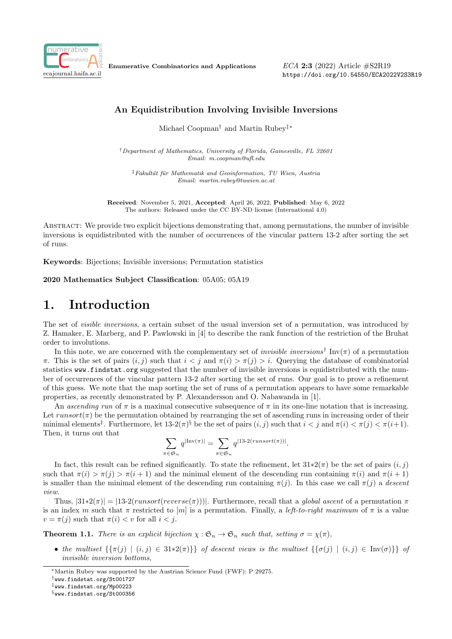

Enumerative Combinatorics and Applications

ECA 2:3 (2022) Article #S2R19 https://doi.org/10.54550/ECA2022V2S3R19

### An Equidistribution Involving Invisible Inversions

Michael Coopman† and Martin Rubey‡∗

†Department of Mathematics, University of Florida, Gainesville, FL 32601 Email: m.coopman@ufl.edu

 $\frac{1}{4}$ Fakultät für Mathematik and Geoinformation, TU Wien, Austria Email: martin.rubey@tuwien.ac.at

Received: November 5, 2021, Accepted: April 26, 2022, Published: May 6, 2022 The authors: Released under the CC BY-ND license (International 4.0)

Abstract: We provide two explicit bijections demonstrating that, among permutations, the number of invisible inversions is equidistributed with the number of occurrences of the vincular pattern 13-2 after sorting the set of runs.

Keywords: Bijections; Invisible inversions; Permutation statistics

2020 Mathematics Subject Classification: 05A05; 05A19

## 1. Introduction

The set of visible inversions, a certain subset of the usual inversion set of a permutation, was introduced by Z. Hamaker, E. Marberg, and P. Pawlowski in [4] to describe the rank function of the restriction of the Bruhat order to involutions.

In this note, we are concerned with the complementary set of *invisible inversions*<sup>†</sup> Inv( $\pi$ ) of a permutation π. This is the set of pairs  $(i, j)$  such that  $i < j$  and  $\pi(i) > \pi(j) > i$ . Querying the database of combinatorial statistics www.findstat.org suggested that the number of invisible inversions is equidistributed with the number of occurrences of the vincular pattern 13-2 after sorting the set of runs. Our goal is to prove a refinement of this guess. We note that the map sorting the set of runs of a permutation appears to have some remarkable properties, as recently demonstrated by P. Alexandersson and O. Nabawanda in [1].

An ascending run of  $\pi$  is a maximal consecutive subsequence of  $\pi$  in its one-line notation that is increasing. Let  $runsort(\pi)$  be the permutation obtained by rearranging the set of ascending runs in increasing order of their minimal elements<sup>‡</sup>. Furthermore, let  $13{\text -}2(\pi)^8$  be the set of pairs  $(i, j)$  such that  $i < j$  and  $\pi(i) < \pi(j) < \pi(i+1)$ . Then, it turns out that

$$
\sum_{\pi \in \mathfrak{S}_n} q^{|Inv(\pi)|} = \sum_{\pi \in \mathfrak{S}_n} q^{|13 \text{-} 2(runsort(\pi))|}.
$$

In fact, this result can be refined significantly. To state the refinement, let  $31*2(\pi)$  be the set of pairs  $(i, j)$ such that  $\pi(i) > \pi(j) > \pi(i+1)$  and the minimal element of the descending run containing  $\pi(i)$  and  $\pi(i+1)$ is smaller than the minimal element of the descending run containing  $\pi(j)$ . In this case we call  $\pi(j)$  a descent view.

Thus,  $|31*2(\pi)| = |13-2(runsort(reverse(\pi)))|$ . Furthermore, recall that a global ascent of a permutation  $\pi$ is an index m such that  $\pi$  restricted to [m] is a permutation. Finally, a *left-to-right maximum* of  $\pi$  is a value  $v = \pi(j)$  such that  $\pi(i) < v$  for all  $i < j$ .

**Theorem 1.1.** There is an explicit bijection  $\chi : \mathfrak{S}_n \to \mathfrak{S}_n$  such that, setting  $\sigma = \chi(\pi)$ ,

• the multiset  $\{\{\pi(j) \mid (i,j) \in 31*2(\pi)\}\}\$  of descent views is the multiset  $\{\{\sigma(j) \mid (i,j) \in \text{Inv}(\sigma)\}\}\$  of invisible inversion bottoms,

<sup>∗</sup>Martin Rubey was supported by the Austrian Science Fund (FWF): P 29275.

<sup>†</sup>www.findstat.org/St001727

<sup>‡</sup>www.findstat.org/Mp00223

<sup>§</sup>www.findstat.org/St000356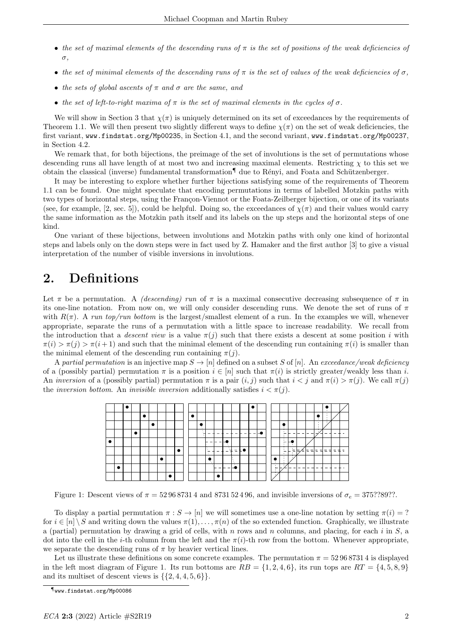- the set of maximal elements of the descending runs of  $\pi$  is the set of positions of the weak deficiencies of σ,
- the set of minimal elements of the descending runs of  $\pi$  is the set of values of the weak deficiencies of  $\sigma$ .
- the sets of global ascents of  $\pi$  and  $\sigma$  are the same, and
- the set of left-to-right maxima of  $\pi$  is the set of maximal elements in the cycles of  $\sigma$ .

We will show in Section 3 that  $\chi(\pi)$  is uniquely determined on its set of exceedances by the requirements of Theorem 1.1. We will then present two slightly different ways to define  $\chi(\pi)$  on the set of weak deficiencies, the first variant, www.findstat.org/Mp00235, in Section 4.1, and the second variant, www.findstat.org/Mp00237, in Section 4.2.

We remark that, for both bijections, the preimage of the set of involutions is the set of permutations whose descending runs all have length of at most two and increasing maximal elements. Restricting  $\chi$  to this set we obtain the classical (inverse) fundamental transformation<sup>1</sup> due to Rényi, and Foata and Schützenberger.

It may be interesting to explore whether further bijections satisfying some of the requirements of Theorem 1.1 can be found. One might speculate that encoding permutations in terms of labelled Motzkin paths with two types of horizontal steps, using the Françon-Viennot or the Foata-Zeilberger bijection, or one of its variants (see, for example, [2, sec. 5]), could be helpful. Doing so, the exceedances of  $\chi(\pi)$  and their values would carry the same information as the Motzkin path itself and its labels on the up steps and the horizontal steps of one kind.

One variant of these bijections, between involutions and Motzkin paths with only one kind of horizontal steps and labels only on the down steps were in fact used by Z. Hamaker and the first author [3] to give a visual interpretation of the number of visible inversions in involutions.

## 2. Definitions

Let  $\pi$  be a permutation. A *(descending) run* of  $\pi$  is a maximal consecutive decreasing subsequence of  $\pi$  in its one-line notation. From now on, we will only consider descending runs. We denote the set of runs of  $\pi$ with  $R(\pi)$ . A run top/run bottom is the largest/smallest element of a run. In the examples we will, whenever appropriate, separate the runs of a permutation with a little space to increase readability. We recall from the introduction that a *descent view* is a value  $\pi(j)$  such that there exists a descent at some position i with  $\pi(i) > \pi(i) > \pi(i+1)$  and such that the minimal element of the descending run containing  $\pi(i)$  is smaller than the minimal element of the descending run containing  $\pi(j)$ .

A partial permutation is an injective map  $S \to [n]$  defined on a subset S of [n]. An exceedance/weak deficiency of a (possibly partial) permutation  $\pi$  is a position  $i \in [n]$  such that  $\pi(i)$  is strictly greater/weakly less than i. An inversion of a (possibly partial) permutation  $\pi$  is a pair  $(i, j)$  such that  $i < j$  and  $\pi(i) > \pi(j)$ . We call  $\pi(j)$ the *inversion bottom*. An *invisible inversion* additionally satisfies  $i < \pi(i)$ .

|  |  |  |  |  |                        |                                                                |        |                         |               |       |     |   |                                                                  |                                                    |                        |                               |         |                          | -<br>- 11                |                          |     |
|--|--|--|--|--|------------------------|----------------------------------------------------------------|--------|-------------------------|---------------|-------|-----|---|------------------------------------------------------------------|----------------------------------------------------|------------------------|-------------------------------|---------|--------------------------|--------------------------|--------------------------|-----|
|  |  |  |  |  | $\sim$                 |                                                                |        |                         |               |       |     |   |                                                                  |                                                    |                        |                               |         | $\sim$<br>14             | ۰<br>. .                 |                          |     |
|  |  |  |  |  | -<br>$\sim$<br>-<br>14 | $\overline{\phantom{a}}$                                       |        |                         | $-$           | - - 1 | – – | - |                                                                  | $\sim$<br>$\sim$<br>$\sim$                         |                        | -<br>$\overline{\phantom{a}}$ | $ -$    | $\rightarrow$<br>⊣       | - -                      | $\overline{\phantom{a}}$ |     |
|  |  |  |  |  |                        | - - - -                                                        |        | −<br><b>1999</b>        |               |       |     |   |                                                                  | <br>$\sim$<br>$\overline{\phantom{a}}$<br><b>A</b> |                        |                               |         |                          |                          |                          |     |
|  |  |  |  |  |                        | $\mathbf{r}$<br>$\sim$<br>$\overline{\phantom{0}}$<br><b>A</b> |        | $\sim$<br>.<br>$\equiv$ | ∃ = £●        |       |     |   |                                                                  | 14.1<br>$\sim$<br>$\overline{\phantom{0}}$<br>×.   | $\sim$<br>÷,<br>$\sim$ | $\mathsf{E}/\mathsf{E}$       | $=$ $=$ | $=$<br>$\equiv$          | Ξ<br>⊐                   | $=$<br>⊣                 | Е   |
|  |  |  |  |  |                        | $\ddot{\phantom{a}}$<br>$\sim$                                 |        |                         | 14.15<br>14.1 |       |     |   | $\sim$                                                           | ×                                                  | . .                    |                               |         |                          |                          |                          |     |
|  |  |  |  |  |                        | .,                                                             |        | ----                    | $\sim$<br>ı — |       |     |   | <b>COLLEGE</b><br>$\overleftarrow{\phantom{1}}$<br>. .<br>$\sim$ | $\sim$                                             | <u>   /          </u>  |                               | - -     | $\overline{\phantom{a}}$ | $\overline{\phantom{a}}$ | $\overline{\phantom{a}}$ | - - |
|  |  |  |  |  |                        |                                                                | $\sim$ |                         |               |       |     |   |                                                                  |                                                    |                        |                               |         |                          |                          |                          |     |

Figure 1: Descent views of  $\pi = 529687314$  and  $873152496$ , and invisible inversions of  $\sigma_e = 375?789?$ ?.

To display a partial permutation  $\pi : S \to [n]$  we will sometimes use a one-line notation by setting  $\pi(i) = ?$ for  $i \in [n] \setminus S$  and writing down the values  $\pi(1), \ldots, \pi(n)$  of the so extended function. Graphically, we illustrate a (partial) permutation by drawing a grid of cells, with n rows and n columns, and placing, for each i in  $S$ , a dot into the cell in the *i*-th column from the left and the  $\pi(i)$ -th row from the bottom. Whenever appropriate, we separate the descending runs of  $\pi$  by heavier vertical lines.

Let us illustrate these definitions on some concrete examples. The permutation  $\pi = 529687314$  is displayed in the left most diagram of Figure 1. Its run bottoms are  $RB = \{1, 2, 4, 6\}$ , its run tops are  $RT = \{4, 5, 8, 9\}$ and its multiset of descent views is  $\{\{2, 4, 4, 5, 6\}\}.$ 

<sup>¶</sup>www.findstat.org/Mp00086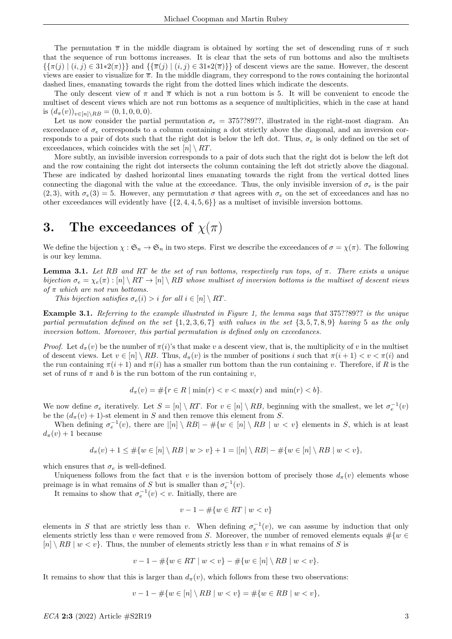The permutation  $\bar{\pi}$  in the middle diagram is obtained by sorting the set of descending runs of  $\pi$  such that the sequence of run bottoms increases. It is clear that the sets of run bottoms and also the multisets  $\{\{\pi(j) \mid (i,j) \in 31 * 2(\pi)\}\}\$ and  $\{\overline{\pi}(j) \mid (i,j) \in 31 * 2(\overline{\pi})\}\$ of descent views are the same. However, the descent views are easier to visualize for  $\bar{\pi}$ . In the middle diagram, they correspond to the rows containing the horizontal dashed lines, emanating towards the right from the dotted lines which indicate the descents.

The only descent view of  $\pi$  and  $\overline{\pi}$  which is not a run bottom is 5. It will be convenient to encode the multiset of descent views which are not run bottoms as a sequence of multiplicities, which in the case at hand is  $(d_{\pi}(v))_{v\in[n]\setminus RB} = (0, 1, 0, 0, 0).$ 

Let us now consider the partial permutation  $\sigma_e = 375$ ??89??, illustrated in the right-most diagram. An exceedance of  $\sigma_e$  corresponds to a column containing a dot strictly above the diagonal, and an inversion corresponds to a pair of dots such that the right dot is below the left dot. Thus,  $\sigma_e$  is only defined on the set of exceedances, which coincides with the set  $[n] \setminus RT$ .

More subtly, an invisible inversion corresponds to a pair of dots such that the right dot is below the left dot and the row containing the right dot intersects the column containing the left dot strictly above the diagonal. These are indicated by dashed horizontal lines emanating towards the right from the vertical dotted lines connecting the diagonal with the value at the exceedance. Thus, the only invisible inversion of  $\sigma_e$  is the pair  $(2, 3)$ , with  $\sigma_e(3) = 5$ . However, any permutation  $\sigma$  that agrees with  $\sigma_e$  on the set of exceedances and has no other exceedances will evidently have  $\{\{2, 4, 4, 5, 6\}\}\$ as a multiset of invisible inversion bottoms.

# 3. The exceedances of  $\chi(\pi)$

We define the bijection  $\chi : \mathfrak{S}_n \to \mathfrak{S}_n$  in two steps. First we describe the exceedances of  $\sigma = \chi(\pi)$ . The following is our key lemma.

**Lemma 3.1.** Let RB and RT be the set of run bottoms, respectively run tops, of  $\pi$ . There exists a unique bijection  $\sigma_e = \chi_e(\pi) : [n] \setminus RT \to [n] \setminus RB$  whose multiset of inversion bottoms is the multiset of descent views of  $\pi$  which are not run bottoms.

This bijection satisfies  $\sigma_e(i) > i$  for all  $i \in [n] \setminus RT$ .

Example 3.1. Referring to the example illustrated in Figure 1, the lemma says that 375??89?? is the unique partial permutation defined on the set  $\{1, 2, 3, 6, 7\}$  with values in the set  $\{3, 5, 7, 8, 9\}$  having 5 as the only inversion bottom. Moreover, this partial permutation is defined only on exceedances.

*Proof.* Let  $d_\pi(v)$  be the number of  $\pi(i)$ 's that make v a descent view, that is, the multiplicity of v in the multiset of descent views. Let  $v \in [n] \setminus RB$ . Thus,  $d_{\pi}(v)$  is the number of positions i such that  $\pi(i+1) < v < \pi(i)$  and the run containing  $\pi(i+1)$  and  $\pi(i)$  has a smaller run bottom than the run containing v. Therefore, if R is the set of runs of  $\pi$  and b is the run bottom of the run containing v,

$$
d_{\pi}(v) = \#\{r \in R \mid \min(r) < v < \max(r) \text{ and } \min(r) < b\}.
$$

We now define  $\sigma_e$  iteratively. Let  $S = [n] \setminus RT$ . For  $v \in [n] \setminus RB$ , beginning with the smallest, we let  $\sigma_e^{-1}(v)$ be the  $(d_{\pi}(v) + 1)$ -st element in S and then remove this element from S.

When defining  $\sigma_e^{-1}(v)$ , there are  $|[n] \setminus RB - #\{w \in [n] \setminus RB \mid w < v\}$  elements in S, which is at least  $d_{\pi}(v) + 1$  because

$$
d_{\pi}(v) + 1 \leq \#\{w \in [n] \setminus RB \mid w > v\} + 1 = |[n] \setminus RB| - \#\{w \in [n] \setminus RB \mid w < v\},\
$$

which ensures that  $\sigma_e$  is well-defined.

Uniqueness follows from the fact that v is the inversion bottom of precisely those  $d_{\pi}(v)$  elements whose preimage is in what remains of S but is smaller than  $\sigma_e^{-1}(v)$ .

It remains to show that  $\sigma_e^{-1}(v) < v$ . Initially, there are

$$
v - 1 - \#\{w \in RT \mid w < v\}
$$

elements in S that are strictly less than v. When defining  $\sigma_e^{-1}(v)$ , we can assume by induction that only elements strictly less than v were removed from S. Moreover, the number of removed elements equals  $\#\{w \in \mathbb{R}\}$  $[n] \setminus RB \mid w < v$ . Thus, the number of elements strictly less than v in what remains of S is

$$
v - 1 - #\{w \in RT \mid w < v\} - #\{w \in [n] \setminus RB \mid w < v\}.
$$

It remains to show that this is larger than  $d_{\pi}(v)$ , which follows from these two observations:

$$
v - 1 - \#\{w \in [n] \setminus RB \mid w < v\} = \#\{w \in RB \mid w < v\},
$$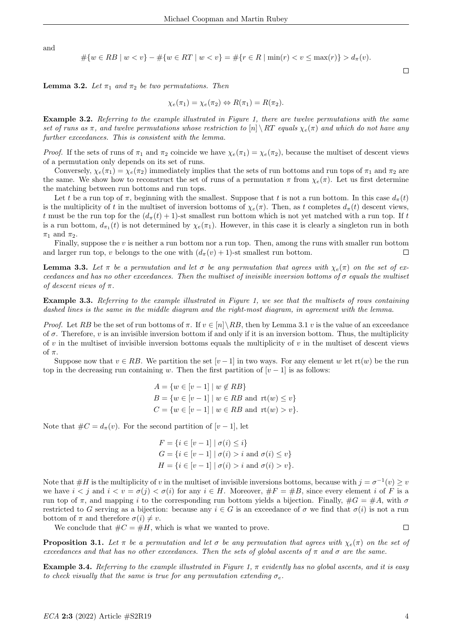and

$$
#{w \in RB \mid w < v} - #{w \in RT \mid w < v} = #{r \in R \mid min(r) < v \le max(r)} > d_{\pi}(v).
$$

**Lemma 3.2.** Let  $\pi_1$  and  $\pi_2$  be two permutations. Then

$$
\chi_e(\pi_1) = \chi_e(\pi_2) \Leftrightarrow R(\pi_1) = R(\pi_2).
$$

Example 3.2. Referring to the example illustrated in Figure 1, there are twelve permutations with the same set of runs as  $\pi$ , and twelve permutations whose restriction to  $[n] \ R$ T equals  $\chi_e(\pi)$  and which do not have any further exceedances. This is consistent with the lemma.

*Proof.* If the sets of runs of  $\pi_1$  and  $\pi_2$  coincide we have  $\chi_e(\pi_1) = \chi_e(\pi_2)$ , because the multiset of descent views of a permutation only depends on its set of runs.

Conversely,  $\chi_e(\pi_1) = \chi_e(\pi_2)$  immediately implies that the sets of run bottoms and run tops of  $\pi_1$  and  $\pi_2$  are the same. We show how to reconstruct the set of runs of a permutation  $\pi$  from  $\chi_e(\pi)$ . Let us first determine the matching between run bottoms and run tops.

Let t be a run top of  $\pi$ , beginning with the smallest. Suppose that t is not a run bottom. In this case  $d_{\pi}(t)$ is the multiplicity of t in the multiset of inversion bottoms of  $\chi_e(\pi)$ . Then, as t completes  $d_{\pi}(t)$  descent views, t must be the run top for the  $(d_\pi(t) + 1)$ -st smallest run bottom which is not yet matched with a run top. If t is a run bottom,  $d_{\pi_1}(t)$  is not determined by  $\chi_e(\pi_1)$ . However, in this case it is clearly a singleton run in both  $\pi_1$  and  $\pi_2$ .

Finally, suppose the v is neither a run bottom nor a run top. Then, among the runs with smaller run bottom and larger run top, v belongs to the one with  $(d_\pi(v) + 1)$ -st smallest run bottom.  $\Box$ 

**Lemma 3.3.** Let  $\pi$  be a permutation and let  $\sigma$  be any permutation that agrees with  $\chi_e(\pi)$  on the set of exceedances and has no other exceedances. Then the multiset of invisible inversion bottoms of  $\sigma$  equals the multiset of descent views of  $\pi$ .

Example 3.3. Referring to the example illustrated in Figure 1, we see that the multisets of rows containing dashed lines is the same in the middle diagram and the right-most diagram, in agreement with the lemma.

*Proof.* Let RB be the set of run bottoms of  $\pi$ . If  $v \in [n] \setminus RB$ , then by Lemma 3.1 v is the value of an exceedance of  $\sigma$ . Therefore, v is an invisible inversion bottom if and only if it is an inversion bottom. Thus, the multiplicity of  $v$  in the multiset of invisible inversion bottoms equals the multiplicity of  $v$  in the multiset of descent views of  $\pi$ .

Suppose now that  $v \in RB$ . We partition the set  $[v-1]$  in two ways. For any element w let  $\text{rt}(w)$  be the run top in the decreasing run containing w. Then the first partition of  $[v-1]$  is as follows:

$$
A = \{w \in [v-1] \mid w \notin RB\}
$$
  
\n
$$
B = \{w \in [v-1] \mid w \in RB \text{ and } rt(w) \le v\}
$$
  
\n
$$
C = \{w \in [v-1] \mid w \in RB \text{ and } rt(w) > v\}.
$$

Note that  $\#C = d_{\pi}(v)$ . For the second partition of  $[v-1]$ , let

 $F = \{i \in [v-1] \mid \sigma(i) \leq i\}$  $G = \{i \in [v-1] \mid \sigma(i) > i \text{ and } \sigma(i) \leq v\}$  $H = \{i \in [v-1] \mid \sigma(i) > i \text{ and } \sigma(i) > v\}.$ 

Note that  $\#H$  is the multiplicity of v in the multiset of invisible inversions bottoms, because with  $j = \sigma^{-1}(v) \geq v$ we have  $i < j$  and  $i < v = \sigma(j) < \sigma(i)$  for any  $i \in H$ . Moreover,  $\#F = \#B$ , since every element i of F is a run top of  $\pi$ , and mapping i to the corresponding run bottom yields a bijection. Finally,  $\#G = \#A$ , with  $\sigma$ restricted to G serving as a bijection: because any  $i \in G$  is an exceedance of  $\sigma$  we find that  $\sigma(i)$  is not a run bottom of  $\pi$  and therefore  $\sigma(i) \neq v$ .

We conclude that  $\#C = \#H$ , which is what we wanted to prove.

 $\Box$ 

 $\Box$ 

**Proposition 3.1.** Let  $\pi$  be a permutation and let  $\sigma$  be any permutation that agrees with  $\chi_e(\pi)$  on the set of exceedances and that has no other exceedances. Then the sets of global ascents of  $\pi$  and  $\sigma$  are the same.

**Example 3.4.** Referring to the example illustrated in Figure 1,  $\pi$  evidently has no global ascents, and it is easy to check visually that the same is true for any permutation extending  $\sigma_e$ .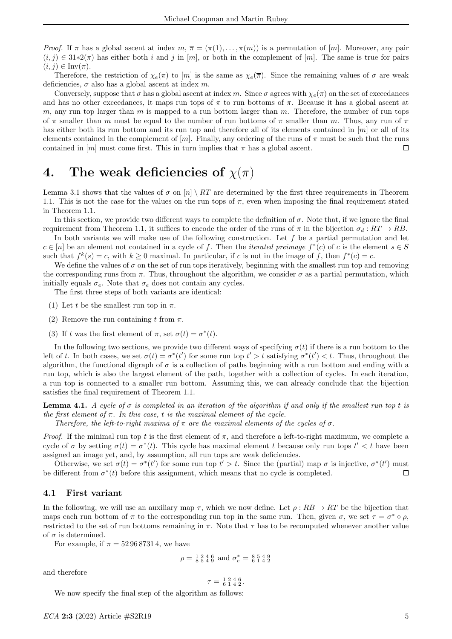*Proof.* If  $\pi$  has a global ascent at index  $m, \overline{\pi} = (\pi(1), \ldots, \pi(m))$  is a permutation of  $[m]$ . Moreover, any pair  $(i, j) \in 31*2(\pi)$  has either both i and j in [m], or both in the complement of [m]. The same is true for pairs  $(i, j) \in Inv(\pi)$ .

Therefore, the restriction of  $\chi_e(\pi)$  to  $[m]$  is the same as  $\chi_e(\overline{\pi})$ . Since the remaining values of  $\sigma$  are weak deficiencies,  $\sigma$  also has a global ascent at index m.

Conversely, suppose that  $\sigma$  has a global ascent at index m. Since  $\sigma$  agrees with  $\chi_e(\pi)$  on the set of exceedances and has no other exceedances, it maps run tops of  $\pi$  to run bottoms of  $\pi$ . Because it has a global ascent at m, any run top larger than  $m$  is mapped to a run bottom larger than  $m$ . Therefore, the number of run tops of  $\pi$  smaller than m must be equal to the number of run bottoms of  $\pi$  smaller than m. Thus, any run of  $\pi$ has either both its run bottom and its run top and therefore all of its elements contained in [m] or all of its elements contained in the complement of  $[m]$ . Finally, any ordering of the runs of  $\pi$  must be such that the runs contained in  $[m]$  must come first. This in turn implies that  $\pi$  has a global ascent.  $\Box$ 

# 4. The weak deficiencies of  $\chi(\pi)$

Lemma 3.1 shows that the values of  $\sigma$  on  $[n] \setminus RT$  are determined by the first three requirements in Theorem 1.1. This is not the case for the values on the run tops of  $\pi$ , even when imposing the final requirement stated in Theorem 1.1.

In this section, we provide two different ways to complete the definition of  $\sigma$ . Note that, if we ignore the final requirement from Theorem 1.1, it suffices to encode the order of the runs of  $\pi$  in the bijection  $\sigma_d : RT \to RB$ .

In both variants we will make use of the following construction. Let  $f$  be a partial permutation and let  $c \in [n]$  be an element not contained in a cycle of f. Then the *iterated preimage*  $f^*(c)$  of c is the element  $s \in S$ such that  $f^k(s) = c$ , with  $k \ge 0$  maximal. In particular, if c is not in the image of f, then  $f^*(c) = c$ .

We define the values of  $\sigma$  on the set of run tops iteratively, beginning with the smallest run top and removing the corresponding runs from  $\pi$ . Thus, throughout the algorithm, we consider  $\sigma$  as a partial permutation, which initially equals  $\sigma_e$ . Note that  $\sigma_e$  does not contain any cycles.

The first three steps of both variants are identical:

- (1) Let t be the smallest run top in  $\pi$ .
- (2) Remove the run containing t from  $\pi$ .
- (3) If t was the first element of  $\pi$ , set  $\sigma(t) = \sigma^*(t)$ .

In the following two sections, we provide two different ways of specifying  $\sigma(t)$  if there is a run bottom to the left of t. In both cases, we set  $\sigma(t) = \sigma^*(t')$  for some run top  $t' > t$  satisfying  $\sigma^*(t') < t$ . Thus, throughout the algorithm, the functional digraph of  $\sigma$  is a collection of paths beginning with a run bottom and ending with a run top, which is also the largest element of the path, together with a collection of cycles. In each iteration, a run top is connected to a smaller run bottom. Assuming this, we can already conclude that the bijection satisfies the final requirement of Theorem 1.1.

**Lemma 4.1.** A cycle of  $\sigma$  is completed in an iteration of the algorithm if and only if the smallest run top t is the first element of  $\pi$ . In this case, t is the maximal element of the cycle.

Therefore, the left-to-right maxima of  $\pi$  are the maximal elements of the cycles of  $\sigma$ .

*Proof.* If the minimal run top t is the first element of  $\pi$ , and therefore a left-to-right maximum, we complete a cycle of  $\sigma$  by setting  $\sigma(t) = \sigma^*(t)$ . This cycle has maximal element t because only run tops  $t' < t$  have been assigned an image yet, and, by assumption, all run tops are weak deficiencies.

Otherwise, we set  $\sigma(t) = \sigma^*(t')$  for some run top  $t' > t$ . Since the (partial) map  $\sigma$  is injective,  $\sigma^*(t')$  must be different from  $\sigma^*(t)$  before this assignment, which means that no cycle is completed.  $\Box$ 

#### 4.1 First variant

In the following, we will use an auxiliary map  $\tau$ , which we now define. Let  $\rho : RB \to RT$  be the bijection that maps each run bottom of  $\pi$  to the corresponding run top in the same run. Then, given  $\sigma$ , we set  $\tau = \sigma^* \circ \rho$ , restricted to the set of run bottoms remaining in  $\pi$ . Note that  $\tau$  has to be recomputed whenever another value of  $\sigma$  is determined.

For example, if  $\pi = 529687314$ , we have

$$
\rho = \frac{1}{8} \frac{2}{5} \frac{4}{4} \frac{6}{9}
$$
 and 
$$
\sigma_e^* = \frac{8}{6} \frac{5}{1} \frac{4}{4} \frac{9}{2}
$$

and therefore

$$
\tau = \begin{smallmatrix} 1 & 2 & 4 & 6 \\ 6 & 1 & 4 & 2 \end{smallmatrix}.
$$

We now specify the final step of the algorithm as follows: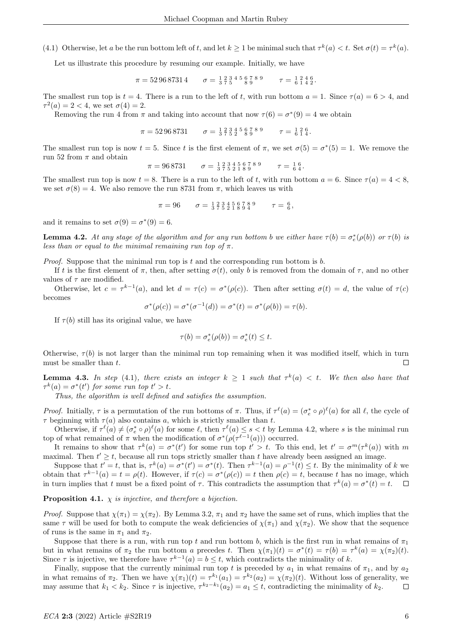(4.1) Otherwise, let a be the run bottom left of t, and let  $k \ge 1$  be minimal such that  $\tau^k(a) < t$ . Set  $\sigma(t) = \tau^k(a)$ .

Let us illustrate this procedure by resuming our example. Initially, we have

$$
\pi = 52\,96\,8731\,4 \qquad \sigma = \begin{array}{cccccc} 1 & 2 & 3 & 4 & 5 & 6 & 7 & 8 & 9 \\ 3 & 7 & 5 & 8 & 9 & 8 & 9 \end{array} \qquad \tau = \begin{array}{cccccc} 1 & 2 & 4 & 6 \\ 6 & 1 & 4 & 2 \end{array}.
$$

The smallest run top is  $t = 4$ . There is a run to the left of t, with run bottom  $a = 1$ . Since  $\tau(a) = 6 > 4$ , and  $\tau^2(a) = 2 < 4$ , we set  $\sigma(4) = 2$ .

Removing the run 4 from  $\pi$  and taking into account that now  $\tau(6) = \sigma^*(9) = 4$  we obtain

$$
\pi = 52\,96\,8731 \qquad \sigma = \frac{1}{3}\frac{2}{7}\frac{3}{5}\frac{4}{2}\frac{5}{8}\frac{6}{9}\frac{7}{8}\frac{8}{9} \qquad \tau = \frac{1}{6}\frac{2}{1}\frac{6}{4}.
$$

The smallest run top is now  $t = 5$ . Since t is the first element of  $\pi$ , we set  $\sigma(5) = \sigma^*(5) = 1$ . We remove the run 52 from  $\pi$  and obtain

$$
\pi = 96\,8731 \qquad \sigma = \frac{1}{3}\frac{2}{7}\frac{3}{5}\frac{4}{2}\frac{5}{1}\frac{6}{8}\frac{7}{9} \qquad \tau = \frac{1}{6}\frac{6}{4}.
$$

The smallest run top is now  $t = 8$ . There is a run to the left of t, with run bottom  $a = 6$ . Since  $\tau(a) = 4 < 8$ , we set  $\sigma(8) = 4$ . We also remove the run 8731 from  $\pi$ , which leaves us with

$$
\pi = 96 \qquad \sigma = \frac{1}{3} \frac{2}{7} \frac{3}{5} \frac{4}{2} \frac{5}{1} \frac{6}{8} \frac{7}{9} \frac{8}{4} \qquad \tau = \frac{6}{6},
$$

and it remains to set  $\sigma(9) = \sigma^*(9) = 6$ .

**Lemma 4.2.** At any stage of the algorithm and for any run bottom b we either have  $\tau(b) = \sigma_e^*(\rho(b))$  or  $\tau(b)$  is less than or equal to the minimal remaining run top of  $\pi$ .

*Proof.* Suppose that the minimal run top is t and the corresponding run bottom is  $b$ .

If t is the first element of  $\pi$ , then, after setting  $\sigma(t)$ , only b is removed from the domain of  $\tau$ , and no other values of  $\tau$  are modified.

Otherwise, let  $c = \tau^{k-1}(a)$ , and let  $d = \tau(c) = \sigma^*(\rho(c))$ . Then after setting  $\sigma(t) = d$ , the value of  $\tau(c)$ becomes

$$
\sigma^*(\rho(c)) = \sigma^*(\sigma^{-1}(d)) = \sigma^*(t) = \sigma^*(\rho(b)) = \tau(b).
$$

If  $\tau(b)$  still has its original value, we have

$$
\tau(b) = \sigma_e^*(\rho(b)) = \sigma_e^*(t) \le t.
$$

Otherwise,  $\tau(b)$  is not larger than the minimal run top remaining when it was modified itself, which in turn must be smaller than  $t$ .  $\Box$ 

**Lemma 4.3.** In step (4.1), there exists an integer  $k \geq 1$  such that  $\tau^k(a) < t$ . We then also have that  $\tau^k(a) = \sigma^*(t')$  for some run top  $t' > t$ .

Thus, the algorithm is well defined and satisfies the assumption.

*Proof.* Initially,  $\tau$  is a permutation of the run bottoms of  $\pi$ . Thus, if  $\tau^{\ell}(a) = (\sigma_e^* \circ \rho)^{\ell}(a)$  for all  $\ell$ , the cycle of  $\tau$  beginning with  $\tau(a)$  also contains a, which is strictly smaller than t.

Otherwise, if  $\tau^{\ell}(a) \neq (\sigma_e^* \circ \rho)^{\ell}(a)$  for some  $\ell$ , then  $\tau^{\ell}(a) \leq s < t$  by Lemma 4.2, where s is the minimal run top of what remained of  $\pi$  when the modification of  $\sigma^*(\rho(\tau^{\ell-1}(a)))$  occurred.

It remains to show that  $\tau^k(a) = \sigma^*(t')$  for some run top  $t' > t$ . To this end, let  $t' = \sigma^m(\tau^k(a))$  with m maximal. Then  $t' \geq t$ , because all run tops strictly smaller than t have already been assigned an image.

Suppose that  $t' = t$ , that is,  $\tau^k(a) = \sigma^*(t') = \sigma^*(t)$ . Then  $\tau^{k-1}(a) = \rho^{-1}(t) \leq t$ . By the minimality of k we obtain that  $\tau^{k-1}(a) = t = \rho(t)$ . However, if  $\tau(c) = \sigma^*(\rho(c)) = t$  then  $\rho(c) = t$ , because t has no image, which in turn implies that t must be a fixed point of  $\tau$ . This contradicts the assumption that  $\tau^k(a) = \sigma^*(t) = t$ .  $\Box$ 

**Proposition 4.1.**  $\chi$  is injective, and therefore a bijection.

*Proof.* Suppose that  $\chi(\pi_1) = \chi(\pi_2)$ . By Lemma 3.2,  $\pi_1$  and  $\pi_2$  have the same set of runs, which implies that the same  $\tau$  will be used for both to compute the weak deficiencies of  $\chi(\pi_1)$  and  $\chi(\pi_2)$ . We show that the sequence of runs is the same in  $\pi_1$  and  $\pi_2$ .

Suppose that there is a run, with run top t and run bottom b, which is the first run in what remains of  $\pi_1$ but in what remains of  $\pi_2$  the run bottom a precedes t. Then  $\chi(\pi_1)(t) = \sigma^*(t) = \tau(b) = \tau^k(a) = \chi(\pi_2)(t)$ . Since  $\tau$  is injective, we therefore have  $\tau^{k-1}(a) = b \leq t$ , which contradicts the minimality of k.

Finally, suppose that the currently minimal run top t is preceded by  $a_1$  in what remains of  $\pi_1$ , and by  $a_2$ in what remains of  $\pi_2$ . Then we have  $\chi(\pi_1)(t) = \tau^{k_1}(a_1) = \tau^{k_2}(a_2) = \chi(\pi_2)(t)$ . Without loss of generality, we may assume that  $k_1 < k_2$ . Since  $\tau$  is injective,  $\tau^{k_2-k_1}(a_2) = a_1 \leq t$ , contradicting the minimality of  $k_2$ .  $\Box$